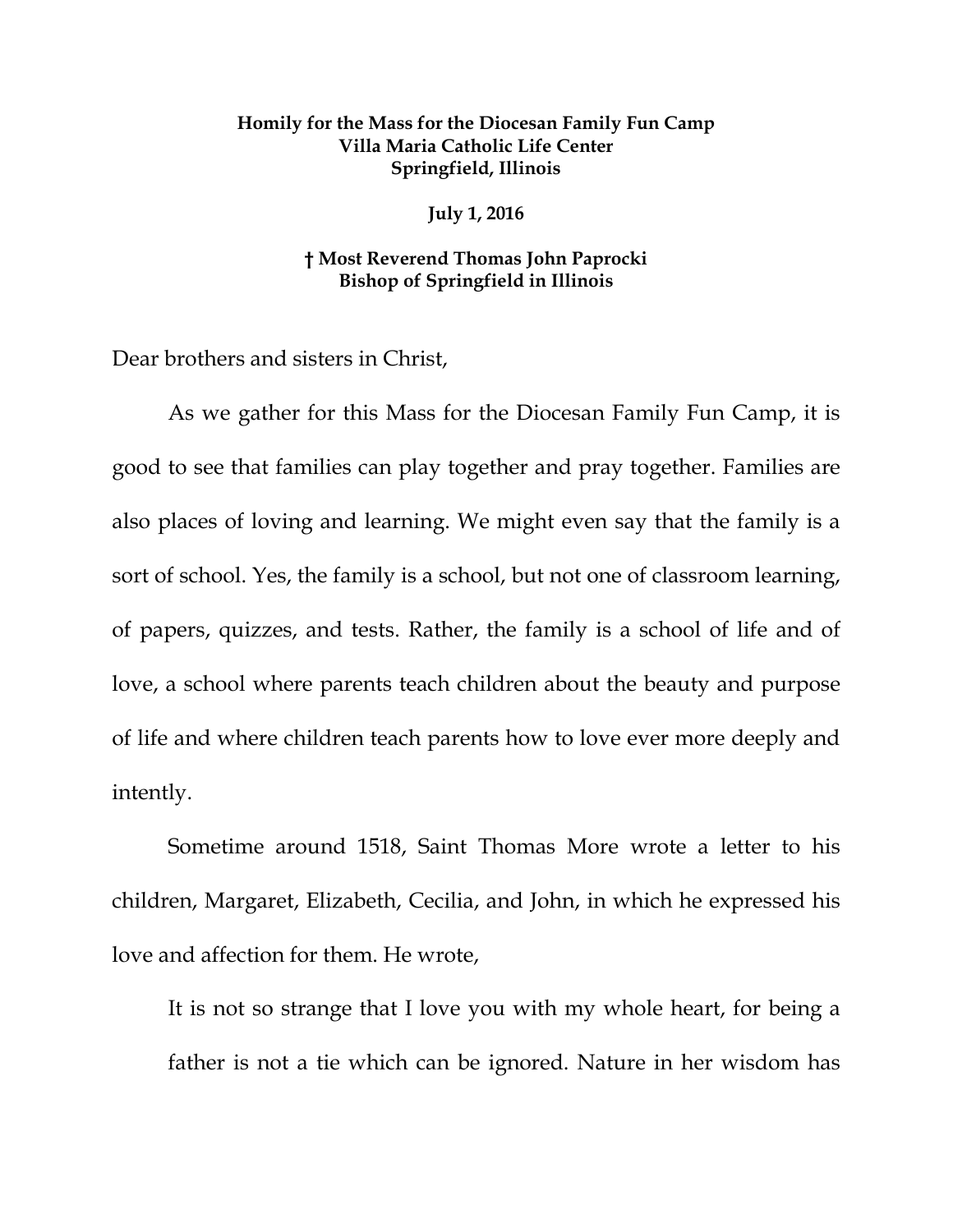## **Homily for the Mass for the Diocesan Family Fun Camp Villa Maria Catholic Life Center Springfield, Illinois**

**July 1, 2016**

## **† Most Reverend Thomas John Paprocki Bishop of Springfield in Illinois**

Dear brothers and sisters in Christ,

As we gather for this Mass for the Diocesan Family Fun Camp, it is good to see that families can play together and pray together. Families are also places of loving and learning. We might even say that the family is a sort of school. Yes, the family is a school, but not one of classroom learning, of papers, quizzes, and tests. Rather, the family is a school of life and of love, a school where parents teach children about the beauty and purpose of life and where children teach parents how to love ever more deeply and intently.

Sometime around 1518, Saint Thomas More wrote a letter to his children, Margaret, Elizabeth, Cecilia, and John, in which he expressed his love and affection for them. He wrote,

It is not so strange that I love you with my whole heart, for being a father is not a tie which can be ignored. Nature in her wisdom has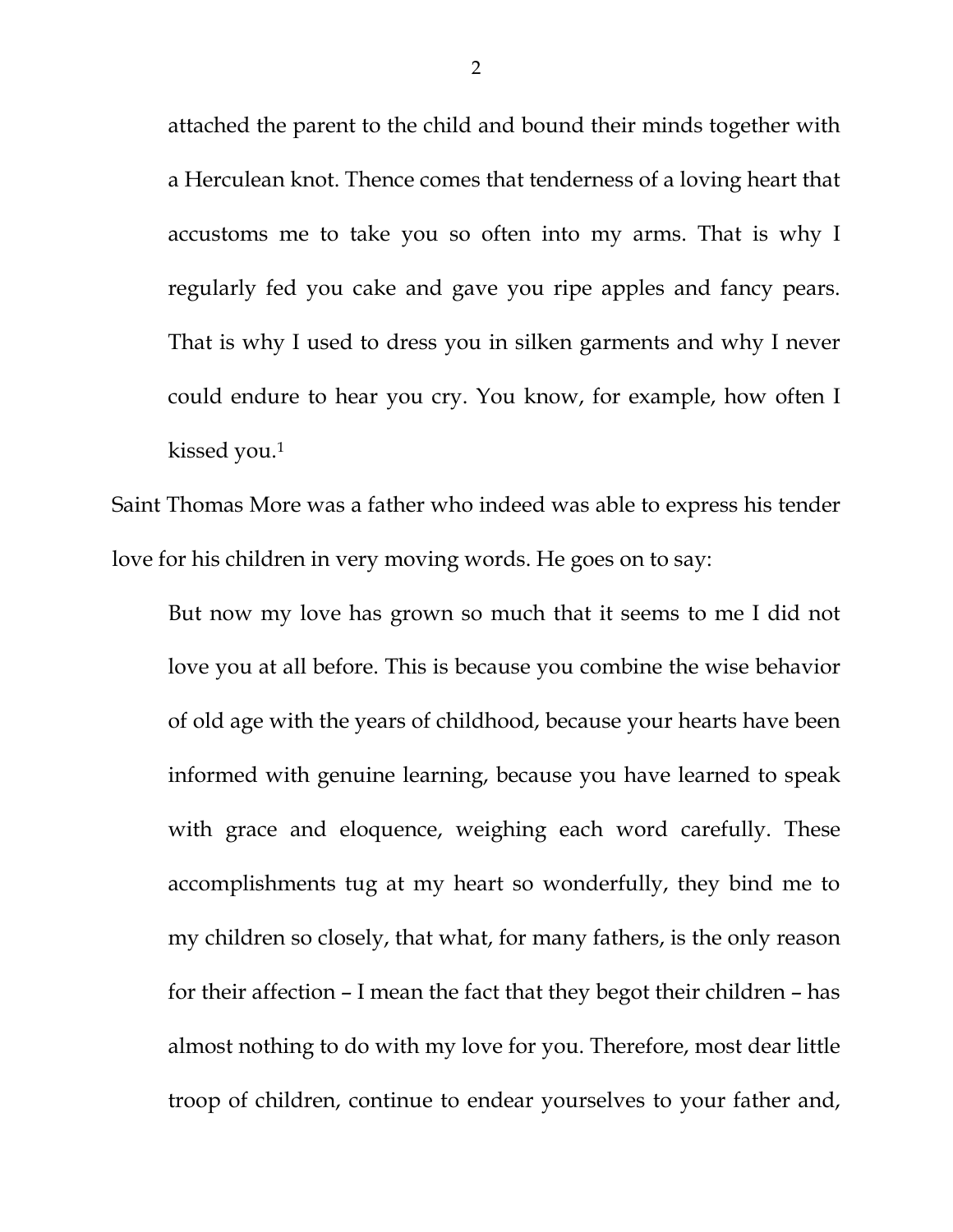attached the parent to the child and bound their minds together with a Herculean knot. Thence comes that tenderness of a loving heart that accustoms me to take you so often into my arms. That is why I regularly fed you cake and gave you ripe apples and fancy pears. That is why I used to dress you in silken garments and why I never could endure to hear you cry. You know, for example, how often I kissed you.[1](#page-3-0)

Saint Thomas More was a father who indeed was able to express his tender love for his children in very moving words. He goes on to say:

But now my love has grown so much that it seems to me I did not love you at all before. This is because you combine the wise behavior of old age with the years of childhood, because your hearts have been informed with genuine learning, because you have learned to speak with grace and eloquence, weighing each word carefully. These accomplishments tug at my heart so wonderfully, they bind me to my children so closely, that what, for many fathers, is the only reason for their affection – I mean the fact that they begot their children – has almost nothing to do with my love for you. Therefore, most dear little troop of children, continue to endear yourselves to your father and,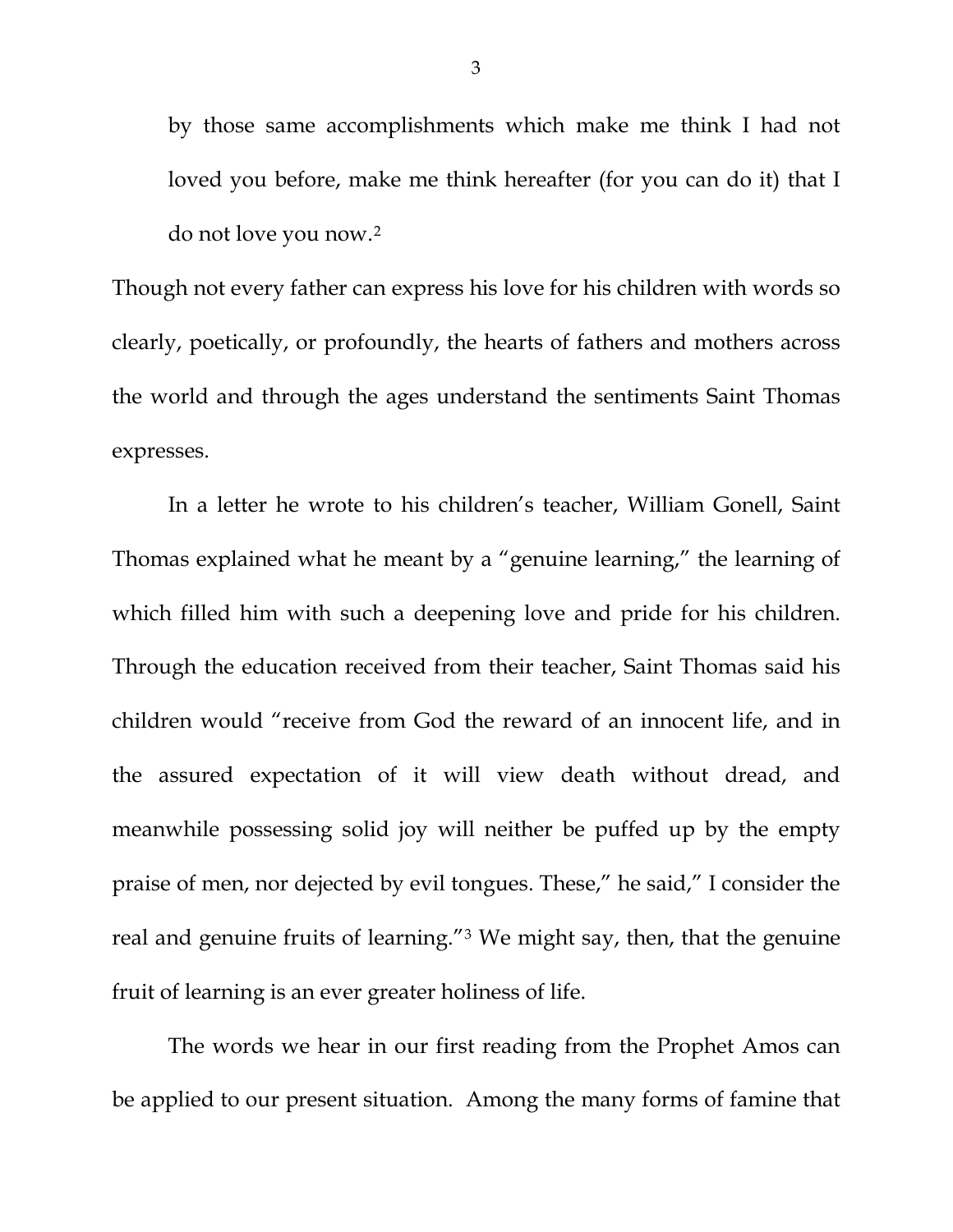by those same accomplishments which make me think I had not loved you before, make me think hereafter (for you can do it) that I do not love you now.[2](#page-3-1)

Though not every father can express his love for his children with words so clearly, poetically, or profoundly, the hearts of fathers and mothers across the world and through the ages understand the sentiments Saint Thomas expresses.

In a letter he wrote to his children's teacher, William Gonell, Saint Thomas explained what he meant by a "genuine learning," the learning of which filled him with such a deepening love and pride for his children. Through the education received from their teacher, Saint Thomas said his children would "receive from God the reward of an innocent life, and in the assured expectation of it will view death without dread, and meanwhile possessing solid joy will neither be puffed up by the empty praise of men, nor dejected by evil tongues. These," he said," I consider the real and genuine fruits of learning."[3](#page-3-2) We might say, then, that the genuine fruit of learning is an ever greater holiness of life.

The words we hear in our first reading from the Prophet Amos can be applied to our present situation. Among the many forms of famine that

3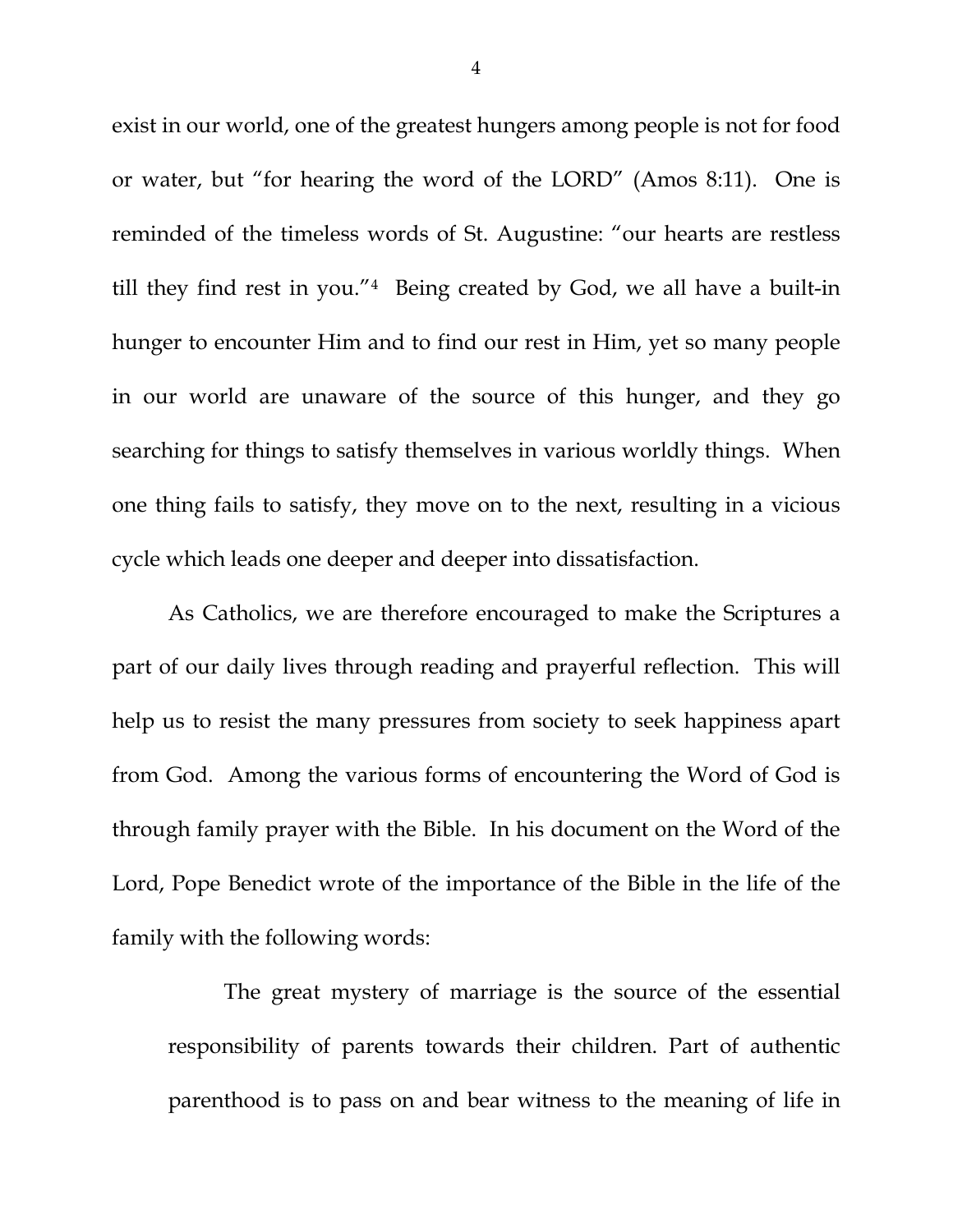<span id="page-3-3"></span><span id="page-3-2"></span><span id="page-3-1"></span><span id="page-3-0"></span>exist in our world, one of the greatest hungers among people is not for food or water, but "for hearing the word of the LORD" (Amos 8:11). One is reminded of the timeless words of St. Augustine: "our hearts are restless till they find rest in you."[4](#page-3-3) Being created by God, we all have a built-in hunger to encounter Him and to find our rest in Him, yet so many people in our world are unaware of the source of this hunger, and they go searching for things to satisfy themselves in various worldly things. When one thing fails to satisfy, they move on to the next, resulting in a vicious cycle which leads one deeper and deeper into dissatisfaction.

<span id="page-3-6"></span><span id="page-3-5"></span><span id="page-3-4"></span>As Catholics, we are therefore encouraged to make the Scriptures a part of our daily lives through reading and prayerful reflection. This will help us to resist the many pressures from society to seek happiness apart from God. Among the various forms of encountering the Word of God is through family prayer with the Bible. In his document on the Word of the Lord, Pope Benedict wrote of the importance of the Bible in the life of the family with the following words:

The great mystery of marriage is the source of the essential responsibility of parents towards their children. Part of authentic parenthood is to pass on and bear witness to the meaning of life in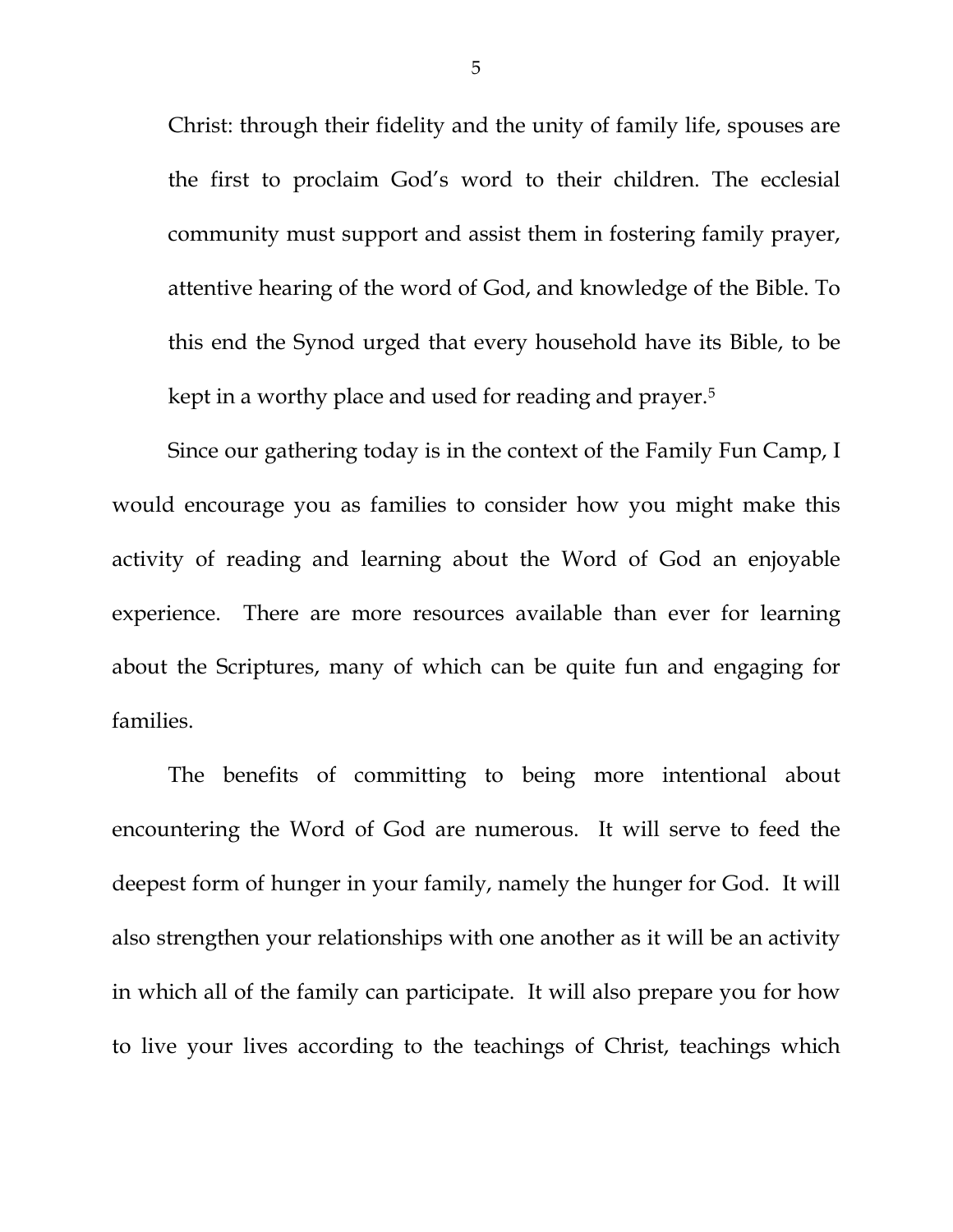Christ: through their fidelity and the unity of family life, spouses are the first to proclaim God's word to their children. The ecclesial community must support and assist them in fostering family prayer, attentive hearing of the word of God, and knowledge of the Bible. To this end the Synod urged that every household have its Bible, to be kept in a worthy place and used for reading and prayer.[5](#page-3-4)

Since our gathering today is in the context of the Family Fun Camp, I would encourage you as families to consider how you might make this activity of reading and learning about the Word of God an enjoyable experience. There are more resources available than ever for learning about the Scriptures, many of which can be quite fun and engaging for families.

The benefits of committing to being more intentional about encountering the Word of God are numerous. It will serve to feed the deepest form of hunger in your family, namely the hunger for God. It will also strengthen your relationships with one another as it will be an activity in which all of the family can participate. It will also prepare you for how to live your lives according to the teachings of Christ, teachings which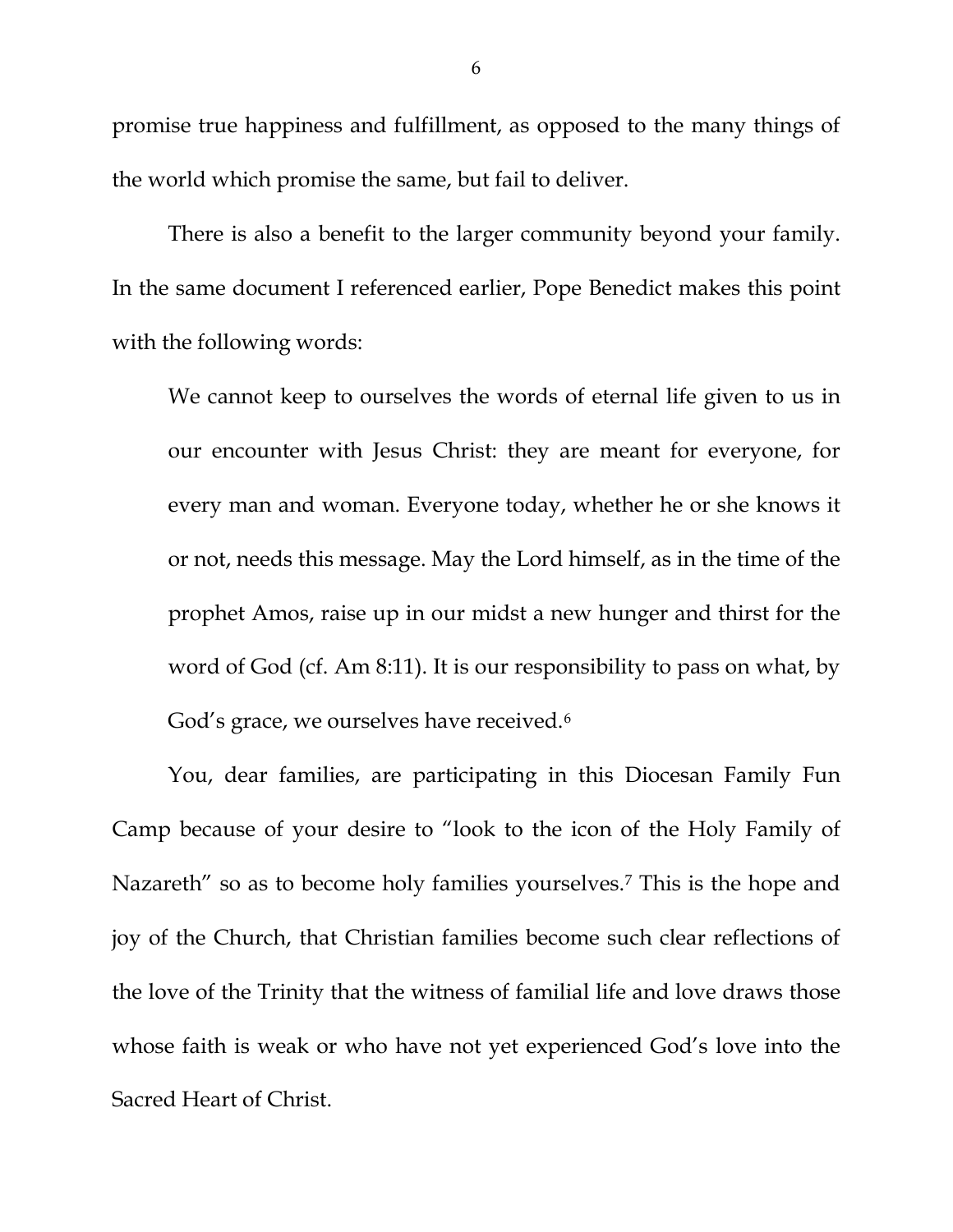promise true happiness and fulfillment, as opposed to the many things of the world which promise the same, but fail to deliver.

There is also a benefit to the larger community beyond your family. In the same document I referenced earlier, Pope Benedict makes this point with the following words:

We cannot keep to ourselves the words of eternal life given to us in our encounter with Jesus Christ: they are meant for everyone, for every man and woman. Everyone today, whether he or she knows it or not, needs this message. May the Lord himself, as in the time of the prophet Amos, raise up in our midst a new hunger and thirst for the word of God (cf. Am 8:11). It is our responsibility to pass on what, by God's grace, we ourselves have received.<sup>[6](#page-3-5)</sup>

You, dear families, are participating in this Diocesan Family Fun Camp because of your desire to "look to the icon of the Holy Family of Nazareth" so as to become holy families yourselves.<sup>[7](#page-3-6)</sup> This is the hope and joy of the Church, that Christian families become such clear reflections of the love of the Trinity that the witness of familial life and love draws those whose faith is weak or who have not yet experienced God's love into the Sacred Heart of Christ.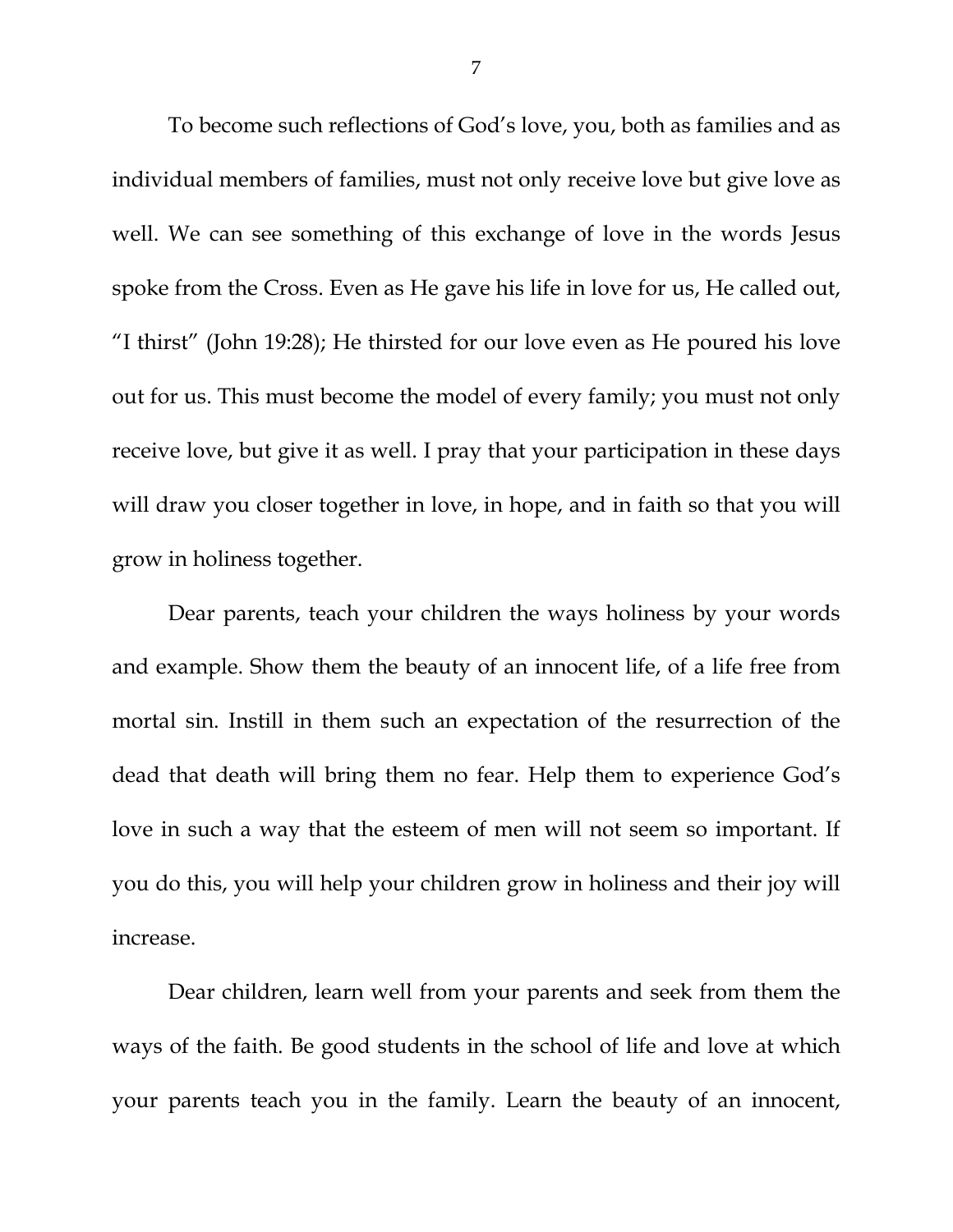To become such reflections of God's love, you, both as families and as individual members of families, must not only receive love but give love as well. We can see something of this exchange of love in the words Jesus spoke from the Cross. Even as He gave his life in love for us, He called out, "I thirst" (John 19:28); He thirsted for our love even as He poured his love out for us. This must become the model of every family; you must not only receive love, but give it as well. I pray that your participation in these days will draw you closer together in love, in hope, and in faith so that you will grow in holiness together.

Dear parents, teach your children the ways holiness by your words and example. Show them the beauty of an innocent life, of a life free from mortal sin. Instill in them such an expectation of the resurrection of the dead that death will bring them no fear. Help them to experience God's love in such a way that the esteem of men will not seem so important. If you do this, you will help your children grow in holiness and their joy will increase.

Dear children, learn well from your parents and seek from them the ways of the faith. Be good students in the school of life and love at which your parents teach you in the family. Learn the beauty of an innocent,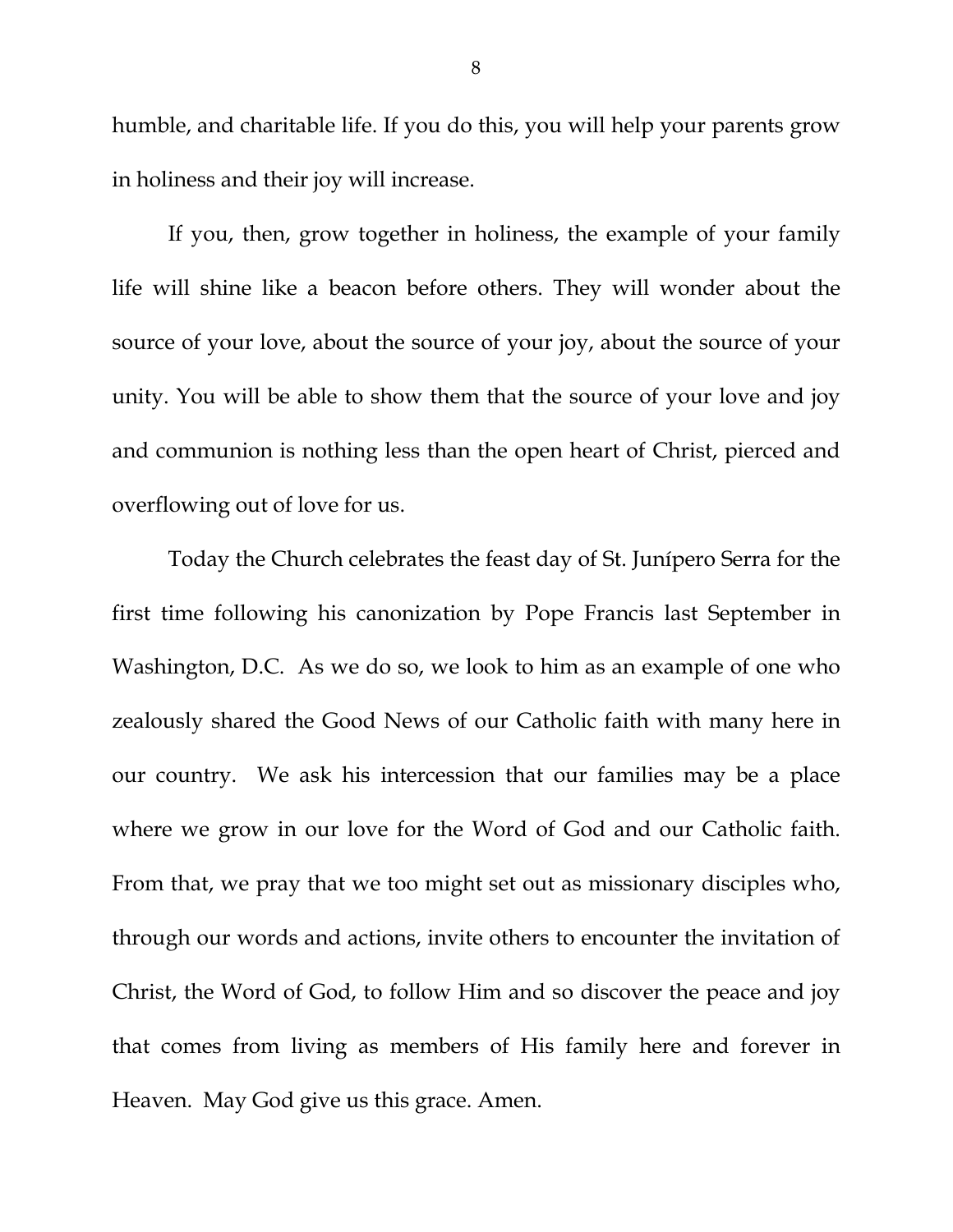humble, and charitable life. If you do this, you will help your parents grow in holiness and their joy will increase.

If you, then, grow together in holiness, the example of your family life will shine like a beacon before others. They will wonder about the source of your love, about the source of your joy, about the source of your unity. You will be able to show them that the source of your love and joy and communion is nothing less than the open heart of Christ, pierced and overflowing out of love for us.

Today the Church celebrates the feast day of St. Junípero Serra for the first time following his canonization by Pope Francis last September in Washington, D.C. As we do so, we look to him as an example of one who zealously shared the Good News of our Catholic faith with many here in our country. We ask his intercession that our families may be a place where we grow in our love for the Word of God and our Catholic faith. From that, we pray that we too might set out as missionary disciples who, through our words and actions, invite others to encounter the invitation of Christ, the Word of God, to follow Him and so discover the peace and joy that comes from living as members of His family here and forever in Heaven. May God give us this grace. Amen.